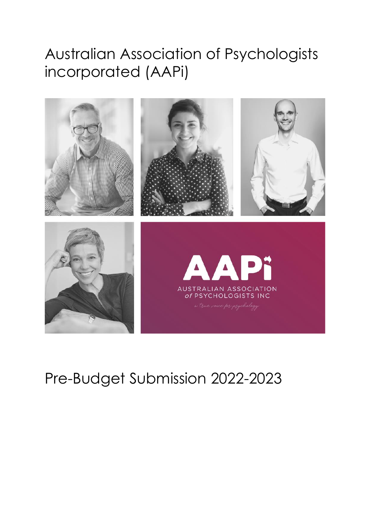# Australian Association of Psychologists incorporated (AAPi)



# Pre-Budget Submission 2022-2023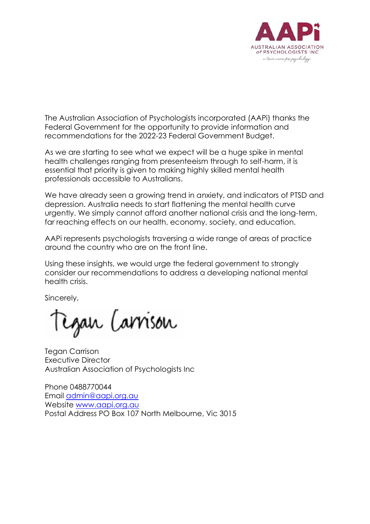

The Australian Association of Psychologists incorporated (AAPi) thanks the Federal Government for the opportunity to provide information and recommendations for the 2022-23 Federal Government Budget.

As we are starting to see what we expect will be a huge spike in mental health challenges ranging from presenteeism through to self-harm, it is essential that priority is given to making highly skilled mental health professionals accessible to Australians.

We have already seen a growing trend in anxiety, and indicators of PTSD and depression. Australia needs to start flattening the mental health curve urgently. We simply cannot afford another national crisis and the long-term, far reaching effects on our health, economy, society, and education.

AAPi represents psychologists traversing a wide range of areas of practice around the country who are on the front line.

Using these insights, we would urge the federal government to strongly consider our recommendations to address a developing national mental health crisis.

Sincerely,

Egan Carrison

Tegan Carrison Executive Director Australian Association of Psychologists Inc

Phone 0488770044 Email [admin@aapi.org.au](mailto:admin@aapi.org.au) Website [www.aapi.org.au](http://www.aapi.org.au/) Postal Address PO Box 107 North Melbourne, Vic 3015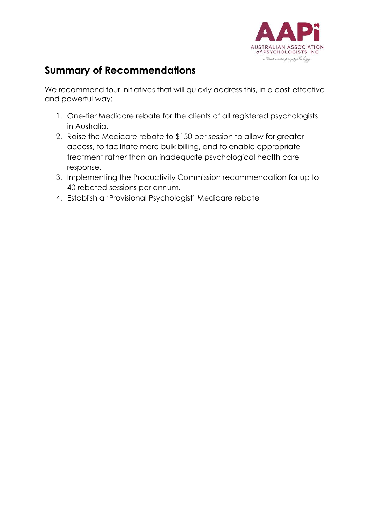

# **Summary of Recommendations**

We recommend four initiatives that will quickly address this, in a cost-effective and powerful way:

- 1. One-tier Medicare rebate for the clients of all registered psychologists in Australia.
- 2. Raise the Medicare rebate to \$150 per session to allow for greater access, to facilitate more bulk billing, and to enable appropriate treatment rather than an inadequate psychological health care response.
- 3. Implementing the Productivity Commission recommendation for up to 40 rebated sessions per annum.
- 4. Establish a 'Provisional Psychologist' Medicare rebate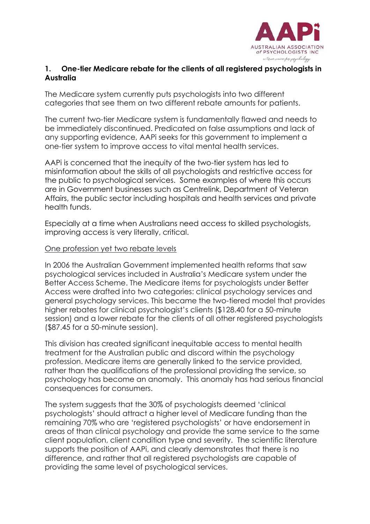

## **1. One-tier Medicare rebate for the clients of all registered psychologists in Australia**

The Medicare system currently puts psychologists into two different categories that see them on two different rebate amounts for patients.

The current two-tier Medicare system is fundamentally flawed and needs to be immediately discontinued. Predicated on false assumptions and lack of any supporting evidence, AAPi seeks for this government to implement a one-tier system to improve access to vital mental health services.

AAPi is concerned that the inequity of the two-tier system has led to misinformation about the skills of all psychologists and restrictive access for the public to psychological services. Some examples of where this occurs are in Government businesses such as Centrelink, Department of Veteran Affairs, the public sector including hospitals and health services and private health funds.

Especially at a time when Australians need access to skilled psychologists, improving access is very literally, critical.

#### One profession yet two rebate levels

In 2006 the Australian Government implemented health reforms that saw psychological services included in Australia's Medicare system under the Better Access Scheme. The Medicare items for psychologists under Better Access were drafted into two categories: clinical psychology services and general psychology services. This became the two-tiered model that provides higher rebates for clinical psychologist's clients (\$128.40 for a 50-minute session) and a lower rebate for the clients of all other registered psychologists (\$87.45 for a 50-minute session).

This division has created significant inequitable access to mental health treatment for the Australian public and discord within the psychology profession. Medicare items are generally linked to the service provided, rather than the qualifications of the professional providing the service, so psychology has become an anomaly. This anomaly has had serious financial consequences for consumers.

The system suggests that the 30% of psychologists deemed 'clinical psychologists' should attract a higher level of Medicare funding than the remaining 70% who are 'registered psychologists' or have endorsement in areas of than clinical psychology and provide the same service to the same client population, client condition type and severity. The scientific literature supports the position of AAPi, and clearly demonstrates that there is no difference, and rather that all registered psychologists are capable of providing the same level of psychological services.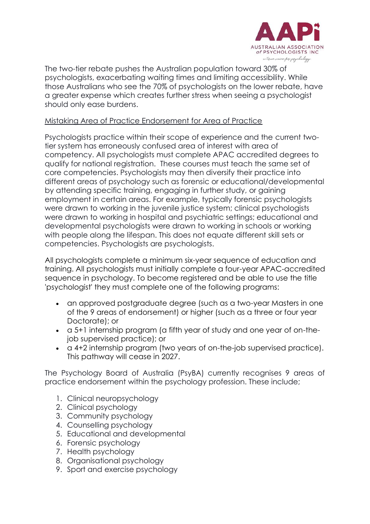

The two-tier rebate pushes the Australian population toward 30% of psychologists, exacerbating waiting times and limiting accessibility. While those Australians who see the 70% of psychologists on the lower rebate, have a greater expense which creates further stress when seeing a psychologist should only ease burdens.

## Mistaking Area of Practice Endorsement for Area of Practice

Psychologists practice within their scope of experience and the current twotier system has erroneously confused area of interest with area of competency. All psychologists must complete APAC accredited degrees to qualify for national registration. These courses must teach the same set of core competencies. Psychologists may then diversify their practice into different areas of psychology such as forensic or educational/developmental by attending specific training, engaging in further study, or gaining employment in certain areas. For example, typically forensic psychologists were drawn to working in the juvenile justice system; clinical psychologists were drawn to working in hospital and psychiatric settings; educational and developmental psychologists were drawn to working in schools or working with people along the lifespan. This does not equate different skill sets or competencies. Psychologists are psychologists.

All psychologists complete a minimum six-year sequence of education and training. All psychologists must initially complete a four-year APAC-accredited sequence in psychology. To become registered and be able to use the title 'psychologist' they must complete one of the following programs:

- an approved postgraduate degree (such as a two-year Masters in one of the 9 areas of endorsement) or higher (such as a three or four year Doctorate); or
- a 5+1 internship program (a fifth year of study and one year of on-thejob supervised practice); or
- a 4+2 internship program (two years of on-the-job supervised practice). This pathway will cease in 2027.

The Psychology Board of Australia (PsyBA) currently recognises 9 areas of practice endorsement within the psychology profession. These include;

- 1. Clinical neuropsychology
- 2. Clinical psychology
- 3. Community psychology
- 4. Counselling psychology
- 5. Educational and developmental
- 6. Forensic psychology
- 7. Health psychology
- 8. Organisational psychology
- 9. Sport and exercise psychology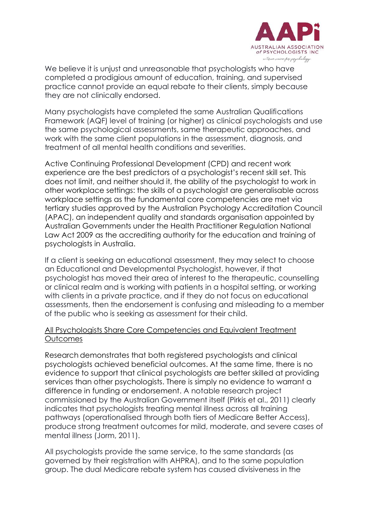

We believe it is unjust and unreasonable that psychologists who have completed a prodigious amount of education, training, and supervised practice cannot provide an equal rebate to their clients, simply because they are not clinically endorsed.

Many psychologists have completed the same Australian Qualifications Framework (AQF) level of training (or higher) as clinical psychologists and use the same psychological assessments, same therapeutic approaches, and work with the same client populations in the assessment, diagnosis, and treatment of all mental health conditions and severities.

Active Continuing Professional Development (CPD) and recent work experience are the best predictors of a psychologist's recent skill set. This does not limit, and neither should it, the ability of the psychologist to work in other workplace settings: the skills of a psychologist are generalisable across workplace settings as the fundamental core competencies are met via tertiary studies approved by the Australian Psychology Accreditation Council (APAC), an independent quality and standards organisation appointed by Australian Governments under the Health Practitioner Regulation National Law Act 2009 as the accrediting authority for the education and training of psychologists in Australia.

If a client is seeking an educational assessment, they may select to choose an Educational and Developmental Psychologist, however, if that psychologist has moved their area of interest to the therapeutic, counselling or clinical realm and is working with patients in a hospital setting, or working with clients in a private practice, and if they do not focus on educational assessments, then the endorsement is confusing and misleading to a member of the public who is seeking as assessment for their child.

### All Psychologists Share Core Competencies and Equivalent Treatment **Outcomes**

Research demonstrates that both registered psychologists and clinical psychologists achieved beneficial outcomes. At the same time, there is no evidence to support that clinical psychologists are better skilled at providing services than other psychologists. There is simply no evidence to warrant a difference in funding or endorsement. A notable research project commissioned by the Australian Government itself (Pirkis et al., 2011) clearly indicates that psychologists treating mental illness across all training pathways (operationalised through both tiers of Medicare Better Access), produce strong treatment outcomes for mild, moderate, and severe cases of mental illness (Jorm, 2011).

All psychologists provide the same service, to the same standards (as governed by their registration with AHPRA), and to the same population group. The dual Medicare rebate system has caused divisiveness in the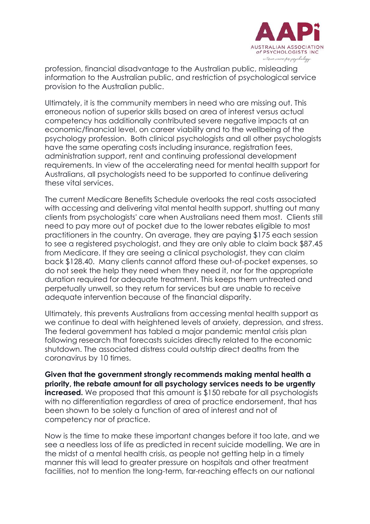

profession, financial disadvantage to the Australian public, misleading information to the Australian public, and restriction of psychological service provision to the Australian public.

Ultimately, it is the community members in need who are missing out. This erroneous notion of superior skills based on area of interest versus actual competency has additionally contributed severe negative impacts at an economic/financial level, on career viability and to the wellbeing of the psychology profession. Both clinical psychologists and all other psychologists have the same operating costs including insurance, registration fees, administration support, rent and continuing professional development requirements. In view of the accelerating need for mental health support for Australians, all psychologists need to be supported to continue delivering these vital services.

The current Medicare Benefits Schedule overlooks the real costs associated with accessing and delivering vital mental health support, shutting out many clients from psychologists' care when Australians need them most. Clients still need to pay more out of pocket due to the lower rebates eligible to most practitioners in the country. On average, they are paying \$175 each session to see a registered psychologist, and they are only able to claim back \$87.45 from Medicare. If they are seeing a clinical psychologist, they can claim back \$128.40. Many clients cannot afford these out-of-pocket expenses, so do not seek the help they need when they need it, nor for the appropriate duration required for adequate treatment. This keeps them untreated and perpetually unwell, so they return for services but are unable to receive adequate intervention because of the financial disparity.

Ultimately, this prevents Australians from accessing mental health support as we continue to deal with heightened levels of anxiety, depression, and stress. The federal government has tabled a major pandemic mental crisis plan following research that forecasts suicides directly related to the economic shutdown. The associated distress could outstrip direct deaths from the coronavirus by 10 times.

**Given that the government strongly recommends making mental health a priority, the rebate amount for all psychology services needs to be urgently increased.** We proposed that this amount is \$150 rebate for all psychologists with no differentiation regardless of area of practice endorsement, that has been shown to be solely a function of area of interest and not of competency nor of practice.

Now is the time to make these important changes before it too late, and we see a needless loss of life as predicted in recent suicide modelling. We are in the midst of a mental health crisis, as people not getting help in a timely manner this will lead to greater pressure on hospitals and other treatment facilities, not to mention the long-term, far-reaching effects on our national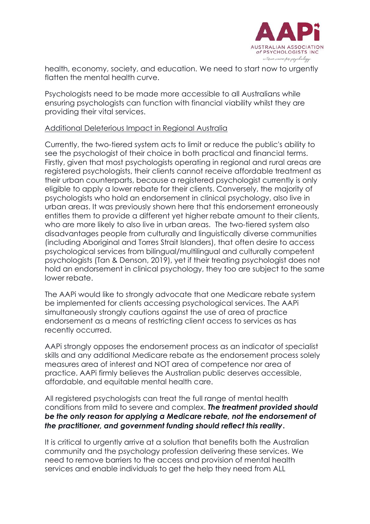

health, economy, society, and education. We need to start now to urgently flatten the mental health curve.

Psychologists need to be made more accessible to all Australians while ensuring psychologists can function with financial viability whilst they are providing their vital services.

### Additional Deleterious Impact in Regional Australia

Currently, the two-tiered system acts to limit or reduce the public's ability to see the psychologist of their choice in both practical and financial terms. Firstly, given that most psychologists operating in regional and rural areas are registered psychologists, their clients cannot receive affordable treatment as their urban counterparts, because a registered psychologist currently is only eligible to apply a lower rebate for their clients. Conversely, the majority of psychologists who hold an endorsement in clinical psychology, also live in urban areas. It was previously shown here that this endorsement erroneously entitles them to provide a different yet higher rebate amount to their clients, who are more likely to also live in urban areas. The two-tiered system also disadvantages people from culturally and linguistically diverse communities (including Aboriginal and Torres Strait Islanders), that often desire to access psychological services from bilingual/multilingual and culturally competent psychologists (Tan & Denson, 2019), yet if their treating psychologist does not hold an endorsement in clinical psychology, they too are subject to the same lower rebate.

The AAPi would like to strongly advocate that one Medicare rebate system be implemented for clients accessing psychological services. The AAPi simultaneously strongly cautions against the use of area of practice endorsement as a means of restricting client access to services as has recently occurred.

AAPi strongly opposes the endorsement process as an indicator of specialist skills and any additional Medicare rebate as the endorsement process solely measures area of interest and NOT area of competence nor area of practice. AAPi firmly believes the Australian public deserves accessible, affordable, and equitable mental health care.

All registered psychologists can treat the full range of mental health conditions from mild to severe and complex. *The treatment provided should be the only reason for applying a Medicare rebate, not the endorsement of the practitioner, and government funding should reflect this reality***.**

It is critical to urgently arrive at a solution that benefits both the Australian community and the psychology profession delivering these services. We need to remove barriers to the access and provision of mental health services and enable individuals to get the help they need from ALL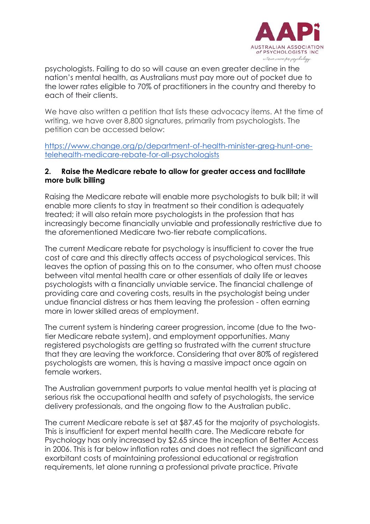

psychologists. Failing to do so will cause an even greater decline in the nation's mental health, as Australians must pay more out of pocket due to the lower rates eligible to 70% of practitioners in the country and thereby to each of their clients.

We have also written a petition that lists these advocacy items. At the time of writing, we have over 8,800 signatures, primarily from psychologists. The petition can be accessed below:

[https://www.change.org/p/department-of-health-minister-greg-hunt-one](https://www.change.org/p/department-of-health-minister-greg-hunt-one-telehealth-medicare-rebate-for-all-psychologists)[telehealth-medicare-rebate-for-all-psychologists](https://www.change.org/p/department-of-health-minister-greg-hunt-one-telehealth-medicare-rebate-for-all-psychologists)

#### **2. Raise the Medicare rebate to allow for greater access and facilitate more bulk billing**

Raising the Medicare rebate will enable more psychologists to bulk bill; it will enable more clients to stay in treatment so their condition is adequately treated; it will also retain more psychologists in the profession that has increasingly become financially unviable and professionally restrictive due to the aforementioned Medicare two-tier rebate complications.

The current Medicare rebate for psychology is insufficient to cover the true cost of care and this directly affects access of psychological services. This leaves the option of passing this on to the consumer, who often must choose between vital mental health care or other essentials of daily life or leaves psychologists with a financially unviable service. The financial challenge of providing care and covering costs, results in the psychologist being under undue financial distress or has them leaving the profession - often earning more in lower skilled areas of employment.

The current system is hindering career progression, income (due to the twotier Medicare rebate system), and employment opportunities. Many registered psychologists are getting so frustrated with the current structure that they are leaving the workforce. Considering that over 80% of registered psychologists are women, this is having a massive impact once again on female workers.

The Australian government purports to value mental health yet is placing at serious risk the occupational health and safety of psychologists, the service delivery professionals, and the ongoing flow to the Australian public.

The current Medicare rebate is set at \$87.45 for the majority of psychologists. This is insufficient for expert mental health care. The Medicare rebate for Psychology has only increased by \$2.65 since the inception of Better Access in 2006. This is far below inflation rates and does not reflect the significant and exorbitant costs of maintaining professional educational or registration requirements, let alone running a professional private practice. Private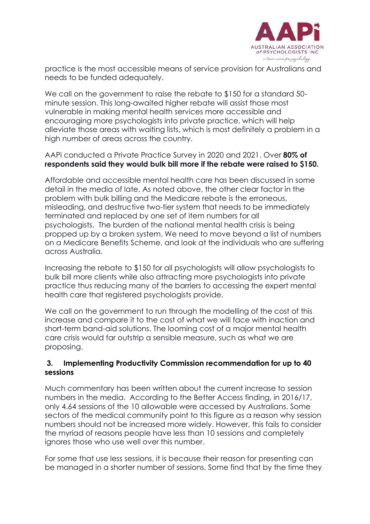

practice is the most accessible means of service provision for Australians and needs to be funded adequately.

We call on the government to raise the rebate to \$150 for a standard 50 minute session. This long-awaited higher rebate will assist those most vulnerable in making mental health services more accessible and encouraging more psychologists into private practice, which will help alleviate those areas with waiting lists, which is most definitely a problem in a high number of areas across the country.

AAPi conducted a Private Practice Survey in 2020 and 2021. Over **80% of respondents said they would bulk bill more if the rebate were raised to \$150.**

Affordable and accessible mental health care has been discussed in some detail in the media of late. As noted above, the other clear factor in the problem with bulk billing and the Medicare rebate is the erroneous, misleading, and destructive two-tier system that needs to be immediately terminated and replaced by one set of item numbers for all psychologists. The burden of the national mental health crisis is being propped up by a broken system. We need to move beyond a list of numbers on a Medicare Benefits Scheme, and look at the individuals who are suffering across Australia.

Increasing the rebate to \$150 for all psychologists will allow psychologists to bulk bill more clients while also attracting more psychologists into private practice thus reducing many of the barriers to accessing the expert mental health care that registered psychologists provide.

We call on the government to run through the modelling of the cost of this increase and compare it to the cost of what we will face with inaction and short-term band-aid solutions. The looming cost of a major mental health care crisis would far outstrip a sensible measure, such as what we are proposing.

#### **3. Implementing Productivity Commission recommendation for up to 40 sessions**

Much commentary has been written about the current increase to session numbers in the media. According to the Better Access finding, in 2016/17, only 4.64 sessions of the 10 allowable were accessed by Australians. Some sectors of the medical community point to this figure as a reason why session numbers should not be increased more widely. However, this fails to consider the myriad of reasons people have less than 10 sessions and completely ignores those who use well over this number.

For some that use less sessions, it is because their reason for presenting can be managed in a shorter number of sessions. Some find that by the time they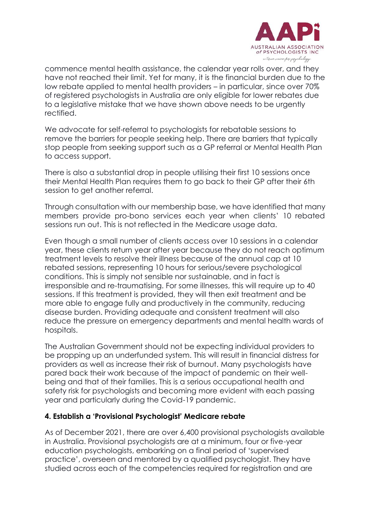

commence mental health assistance, the calendar year rolls over, and they have not reached their limit. Yet for many, it is the financial burden due to the low rebate applied to mental health providers – in particular, since over 70% of registered psychologists in Australia are only eligible for lower rebates due to a legislative mistake that we have shown above needs to be urgently rectified.

We advocate for self-referral to psychologists for rebatable sessions to remove the barriers for people seeking help. There are barriers that typically stop people from seeking support such as a GP referral or Mental Health Plan to access support.

There is also a substantial drop in people utilising their first 10 sessions once their Mental Health Plan requires them to go back to their GP after their 6th session to get another referral.

Through consultation with our membership base, we have identified that many members provide pro-bono services each year when clients' 10 rebated sessions run out. This is not reflected in the Medicare usage data.

Even though a small number of clients access over 10 sessions in a calendar year, these clients return year after year because they do not reach optimum treatment levels to resolve their illness because of the annual cap at 10 rebated sessions, representing 10 hours for serious/severe psychological conditions. This is simply not sensible nor sustainable, and in fact is irresponsible and re-traumatising. For some illnesses, this will require up to 40 sessions. If this treatment is provided, they will then exit treatment and be more able to engage fully and productively in the community, reducing disease burden. Providing adequate and consistent treatment will also reduce the pressure on emergency departments and mental health wards of hospitals.

The Australian Government should not be expecting individual providers to be propping up an underfunded system. This will result in financial distress for providers as well as increase their risk of burnout. Many psychologists have pared back their work because of the impact of pandemic on their wellbeing and that of their families. This is a serious occupational health and safety risk for psychologists and becoming more evident with each passing year and particularly during the Covid-19 pandemic.

#### **4. Establish a 'Provisional Psychologist' Medicare rebate**

As of December 2021, there are over 6,400 provisional psychologists available in Australia. Provisional psychologists are at a minimum, four or five-year education psychologists, embarking on a final period of 'supervised practice', overseen and mentored by a qualified psychologist. They have studied across each of the competencies required for registration and are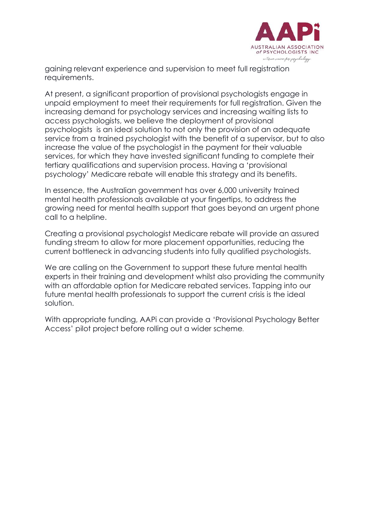

gaining relevant experience and supervision to meet full registration requirements.

At present, a significant proportion of provisional psychologists engage in unpaid employment to meet their requirements for full registration. Given the increasing demand for psychology services and increasing waiting lists to access psychologists, we believe the deployment of provisional psychologists is an ideal solution to not only the provision of an adequate service from a trained psychologist with the benefit of a supervisor, but to also increase the value of the psychologist in the payment for their valuable services, for which they have invested significant funding to complete their tertiary qualifications and supervision process. Having a 'provisional psychology' Medicare rebate will enable this strategy and its benefits.

In essence, the Australian government has over 6,000 university trained mental health professionals available at your fingertips, to address the growing need for mental health support that goes beyond an urgent phone call to a helpline.

Creating a provisional psychologist Medicare rebate will provide an assured funding stream to allow for more placement opportunities, reducing the current bottleneck in advancing students into fully qualified psychologists.

We are calling on the Government to support these future mental health experts in their training and development whilst also providing the community with an affordable option for Medicare rebated services. Tapping into our future mental health professionals to support the current crisis is the ideal solution.

With appropriate funding, AAPi can provide a 'Provisional Psychology Better Access' pilot project before rolling out a wider scheme.